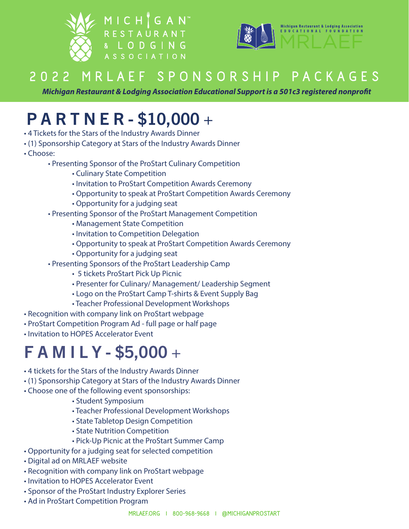



#### **2 0 2 2 M R L A E F S P O N S O R S H I P P A C K A G E S**

*Michigan Restaurant & Lodging Association Educational Support is a 501c3 registered nonprofit*

## P A R T N E R - \$10,000 +

- 4 Tickets for the Stars of the Industry Awards Dinner
- (1) Sponsorship Category at Stars of the Industry Awards Dinner
- Choose:
	- Presenting Sponsor of the ProStart Culinary Competition
		- Culinary State Competition
		- Invitation to ProStart Competition Awards Ceremony
		- Opportunity to speak at ProStart Competition Awards Ceremony
		- Opportunity for a judging seat
	- Presenting Sponsor of the ProStart Management Competition
		- Management State Competition
		- Invitation to Competition Delegation
		- Opportunity to speak at ProStart Competition Awards Ceremony
		- Opportunity for a judging seat
	- Presenting Sponsors of the ProStart Leadership Camp
		- 5 tickets ProStart Pick Up Picnic
		- Presenter for Culinary/ Management/ Leadership Segment
		- Logo on the ProStart Camp T-shirts & Event Supply Bag
		- Teacher Professional Development Workshops
- Recognition with company link on ProStart webpage
- ProStart Competition Program Ad full page or half page
- Invitation to HOPES Accelerator Event

## F A M I L Y - \$5,000 +

- 4 tickets for the Stars of the Industry Awards Dinner
- (1) Sponsorship Category at Stars of the Industry Awards Dinner
- Choose one of the following event sponsorships:
	- Student Symposium
	- Teacher Professional Development Workshops
	- State Tabletop Design Competition
	- State Nutrition Competition
	- Pick-Up Picnic at the ProStart Summer Camp
- Opportunity for a judging seat for selected competition
- Digital ad on MRLAEF website
- Recognition with company link on ProStart webpage
- Invitation to HOPES Accelerator Event
- Sponsor of the ProStart Industry Explorer Series
- Ad in ProStart Competition Program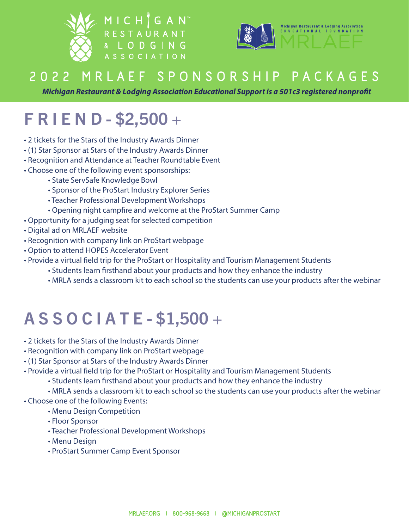



#### **2 0 2 2 M R L A E F S P O N S O R S H I P P A C K A G E S**

*Michigan Restaurant & Lodging Association Educational Support is a 501c3 registered nonprofit*

# F R I E N D - \$2,500 +

- 2 tickets for the Stars of the Industry Awards Dinner
- (1) Star Sponsor at Stars of the Industry Awards Dinner
- Recognition and Attendance at Teacher Roundtable Event
- Choose one of the following event sponsorships:
	- State ServSafe Knowledge Bowl
	- Sponsor of the ProStart Industry Explorer Series
	- Teacher Professional Development Workshops
	- Opening night campfire and welcome at the ProStart Summer Camp
- Opportunity for a judging seat for selected competition
- Digital ad on MRLAEF website
- Recognition with company link on ProStart webpage
- Option to attend HOPES Accelerator Event
- Provide a virtual field trip for the ProStart or Hospitality and Tourism Management Students
	- Students learn firsthand about your products and how they enhance the industry
	- MRLA sends a classroom kit to each school so the students can use your products after the webinar

## A S S O C I A T E - \$1,500 +

- 2 tickets for the Stars of the Industry Awards Dinner
- Recognition with company link on ProStart webpage
- (1) Star Sponsor at Stars of the Industry Awards Dinner
- Provide a virtual field trip for the ProStart or Hospitality and Tourism Management Students
	- Students learn firsthand about your products and how they enhance the industry
	- MRLA sends a classroom kit to each school so the students can use your products after the webinar
- Choose one of the following Events:
	- Menu Design Competition
	- Floor Sponsor
	- Teacher Professional Development Workshops
	- Menu Design
	- ProStart Summer Camp Event Sponsor